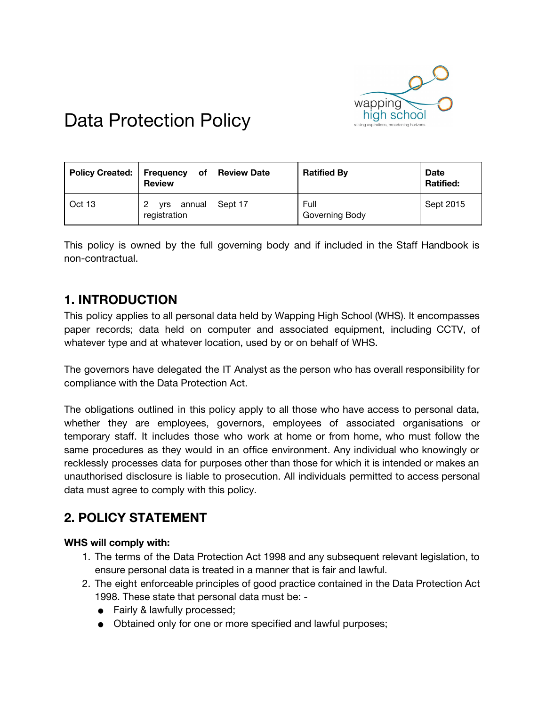

# Data Protection Policy

| <b>Policy Created:</b> | of<br><b>Frequency</b><br><b>Review</b> | l Review Date | <b>Ratified By</b>     | <b>Date</b><br><b>Ratified:</b> |
|------------------------|-----------------------------------------|---------------|------------------------|---------------------------------|
| Oct 13                 | yrs annual<br>registration              | Sept 17       | Full<br>Governing Body | Sept 2015                       |

This policy is owned by the full governing body and if included in the Staff Handbook is non-contractual.

# **1. INTRODUCTION**

This policy applies to all personal data held by Wapping High School (WHS). It encompasses paper records; data held on computer and associated equipment, including CCTV, of whatever type and at whatever location, used by or on behalf of WHS.

The governors have delegated the IT Analyst as the person who has overall responsibility for compliance with the Data Protection Act.

The obligations outlined in this policy apply to all those who have access to personal data, whether they are employees, governors, employees of associated organisations or temporary staff. It includes those who work at home or from home, who must follow the same procedures as they would in an office environment. Any individual who knowingly or recklessly processes data for purposes other than those for which it is intended or makes an unauthorised disclosure is liable to prosecution. All individuals permitted to access personal data must agree to comply with this policy.

# **2. POLICY STATEMENT**

#### **WHS will comply with:**

- 1. The terms of the Data Protection Act 1998 and any subsequent relevant legislation, to ensure personal data is treated in a manner that is fair and lawful.
- 2. The eight enforceable principles of good practice contained in the Data Protection Act 1998. These state that personal data must be: -
	- Fairly & lawfully processed;
	- Obtained only for one or more specified and lawful purposes;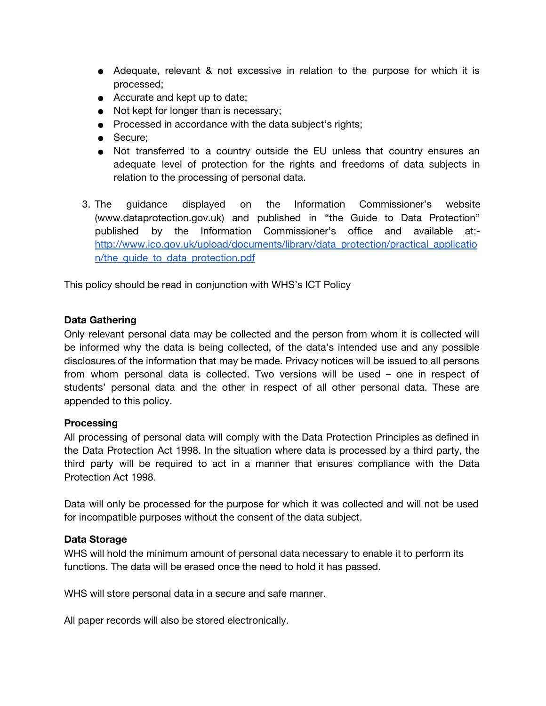- Adequate, relevant & not excessive in relation to the purpose for which it is processed;
- Accurate and kept up to date;
- Not kept for longer than is necessary;
- Processed in accordance with the data subject's rights;
- Secure;
- Not transferred to a country outside the EU unless that country ensures an adequate level of protection for the rights and freedoms of data subjects in relation to the processing of personal data.
- 3. The guidance displayed on the Information Commissioner's website (www.dataprotection.gov.uk) and published in "the Guide to Data Protection" published by the Information Commissioner's office and available at: [http://www.ico.gov.uk/upload/documents/library/data\\_protection/practical\\_applicatio](http://www.ico.gov.uk/upload/documents/library/data_protection/practical_application/the_guide_to_data_protection.pdf) [n/the\\_guide\\_to\\_data\\_protection.pdf](http://www.ico.gov.uk/upload/documents/library/data_protection/practical_application/the_guide_to_data_protection.pdf)

This policy should be read in conjunction with WHS's ICT Policy

#### **Data Gathering**

Only relevant personal data may be collected and the person from whom it is collected will be informed why the data is being collected, of the data's intended use and any possible disclosures of the information that may be made. Privacy notices will be issued to all persons from whom personal data is collected. Two versions will be used – one in respect of students' personal data and the other in respect of all other personal data. These are appended to this policy.

#### **Processing**

All processing of personal data will comply with the Data Protection Principles as defined in the Data Protection Act 1998. In the situation where data is processed by a third party, the third party will be required to act in a manner that ensures compliance with the Data Protection Act 1998.

Data will only be processed for the purpose for which it was collected and will not be used for incompatible purposes without the consent of the data subject.

#### **Data Storage**

WHS will hold the minimum amount of personal data necessary to enable it to perform its functions. The data will be erased once the need to hold it has passed.

WHS will store personal data in a secure and safe manner.

All paper records will also be stored electronically.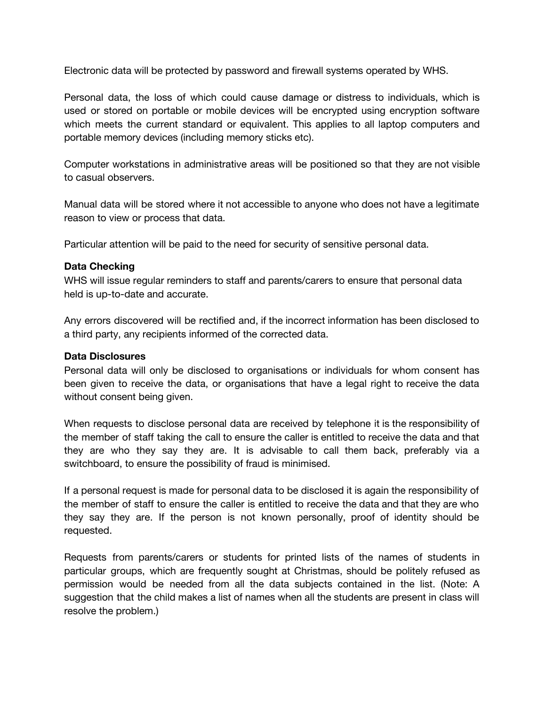Electronic data will be protected by password and firewall systems operated by WHS.

Personal data, the loss of which could cause damage or distress to individuals, which is used or stored on portable or mobile devices will be encrypted using encryption software which meets the current standard or equivalent. This applies to all laptop computers and portable memory devices (including memory sticks etc).

Computer workstations in administrative areas will be positioned so that they are not visible to casual observers.

Manual data will be stored where it not accessible to anyone who does not have a legitimate reason to view or process that data.

Particular attention will be paid to the need for security of sensitive personal data.

#### **Data Checking**

WHS will issue regular reminders to staff and parents/carers to ensure that personal data held is up-to-date and accurate.

Any errors discovered will be rectified and, if the incorrect information has been disclosed to a third party, any recipients informed of the corrected data.

#### **Data Disclosures**

Personal data will only be disclosed to organisations or individuals for whom consent has been given to receive the data, or organisations that have a legal right to receive the data without consent being given.

When requests to disclose personal data are received by telephone it is the responsibility of the member of staff taking the call to ensure the caller is entitled to receive the data and that they are who they say they are. It is advisable to call them back, preferably via a switchboard, to ensure the possibility of fraud is minimised.

If a personal request is made for personal data to be disclosed it is again the responsibility of the member of staff to ensure the caller is entitled to receive the data and that they are who they say they are. If the person is not known personally, proof of identity should be requested.

Requests from parents/carers or students for printed lists of the names of students in particular groups, which are frequently sought at Christmas, should be politely refused as permission would be needed from all the data subjects contained in the list. (Note: A suggestion that the child makes a list of names when all the students are present in class will resolve the problem.)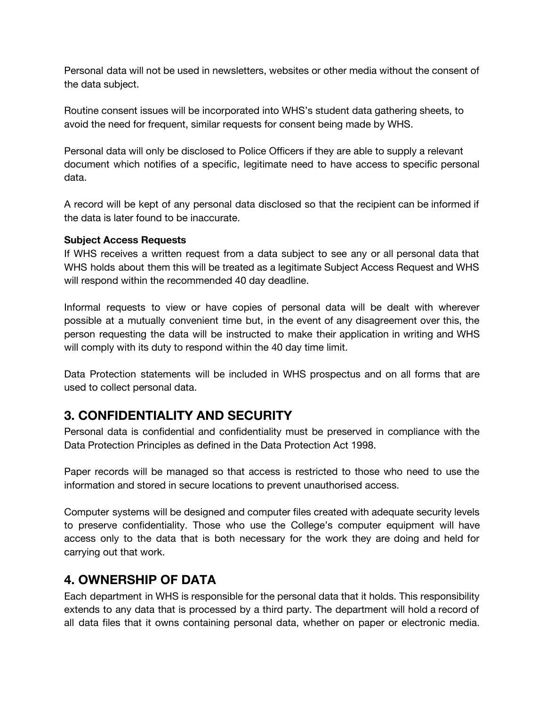Personal data will not be used in newsletters, websites or other media without the consent of the data subject.

Routine consent issues will be incorporated into WHS's student data gathering sheets, to avoid the need for frequent, similar requests for consent being made by WHS.

Personal data will only be disclosed to Police Officers if they are able to supply a relevant document which notifies of a specific, legitimate need to have access to specific personal data.

A record will be kept of any personal data disclosed so that the recipient can be informed if the data is later found to be inaccurate.

#### **Subject Access Requests**

If WHS receives a written request from a data subject to see any or all personal data that WHS holds about them this will be treated as a legitimate Subject Access Request and WHS will respond within the recommended 40 day deadline.

Informal requests to view or have copies of personal data will be dealt with wherever possible at a mutually convenient time but, in the event of any disagreement over this, the person requesting the data will be instructed to make their application in writing and WHS will comply with its duty to respond within the 40 day time limit.

Data Protection statements will be included in WHS prospectus and on all forms that are used to collect personal data.

## **3. CONFIDENTIALITY AND SECURITY**

Personal data is confidential and confidentiality must be preserved in compliance with the Data Protection Principles as defined in the Data Protection Act 1998.

Paper records will be managed so that access is restricted to those who need to use the information and stored in secure locations to prevent unauthorised access.

Computer systems will be designed and computer files created with adequate security levels to preserve confidentiality. Those who use the College's computer equipment will have access only to the data that is both necessary for the work they are doing and held for carrying out that work.

## **4. OWNERSHIP OF DATA**

Each department in WHS is responsible for the personal data that it holds. This responsibility extends to any data that is processed by a third party. The department will hold a record of all data files that it owns containing personal data, whether on paper or electronic media.